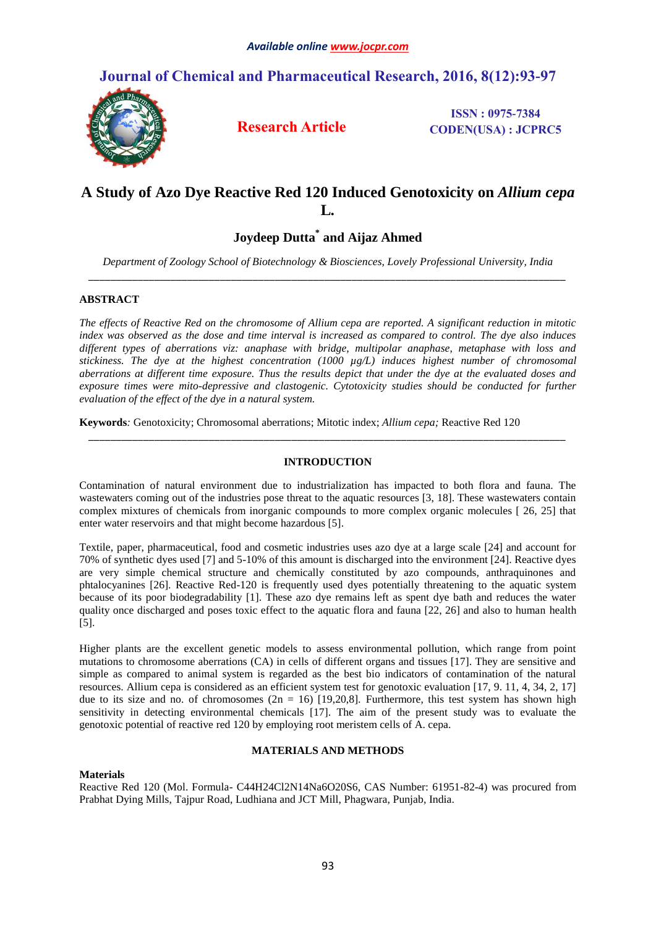# **Journal of Chemical and Pharmaceutical Research, 2016, 8(12):93-97**



**Research Article**

**ISSN : 0975-7384 CODEN(USA) : JCPRC5**

# **A Study of Azo Dye Reactive Red 120 Induced Genotoxicity on** *Allium cepa* **L***.*

# **Joydeep Dutta\* and Aijaz Ahmed**

*Department of Zoology School of Biotechnology & Biosciences, Lovely Professional University, India \_\_\_\_\_\_\_\_\_\_\_\_\_\_\_\_\_\_\_\_\_\_\_\_\_\_\_\_\_\_\_\_\_\_\_\_\_\_\_\_\_\_\_\_\_\_\_\_\_\_\_\_\_\_\_\_\_\_\_\_\_\_\_\_\_\_\_\_\_\_\_\_\_\_\_\_\_\_\_\_\_\_\_\_\_\_\_*

### **ABSTRACT**

*The effects of Reactive Red on the chromosome of Allium cepa are reported. A significant reduction in mitotic index was observed as the dose and time interval is increased as compared to control. The dye also induces different types of aberrations viz: anaphase with bridge, multipolar anaphase, metaphase with loss and stickiness. The dye at the highest concentration (1000 µg/L) induces highest number of chromosomal aberrations at different time exposure. Thus the results depict that under the dye at the evaluated doses and exposure times were mito-depressive and clastogenic. Cytotoxicity studies should be conducted for further evaluation of the effect of the dye in a natural system.*

**Keywords***:* Genotoxicity; Chromosomal aberrations; Mitotic index; *Allium cepa;* Reactive Red 120

## **INTRODUCTION**

*\_\_\_\_\_\_\_\_\_\_\_\_\_\_\_\_\_\_\_\_\_\_\_\_\_\_\_\_\_\_\_\_\_\_\_\_\_\_\_\_\_\_\_\_\_\_\_\_\_\_\_\_\_\_\_\_\_\_\_\_\_\_\_\_\_\_\_\_\_\_\_\_\_\_\_\_\_\_\_\_\_\_\_\_\_\_\_*

Contamination of natural environment due to industrialization has impacted to both flora and fauna. The wastewaters coming out of the industries pose threat to the aquatic resources [3, 18]. These wastewaters contain complex mixtures of chemicals from inorganic compounds to more complex organic molecules [ 26, 25] that enter water reservoirs and that might become hazardous [5].

Textile, paper, pharmaceutical, food and cosmetic industries uses azo dye at a large scale [24] and account for 70% of synthetic dyes used [7] and 5-10% of this amount is discharged into the environment [24]. Reactive dyes are very simple chemical structure and chemically constituted by azo compounds, anthraquinones and phtalocyanines [26]. Reactive Red-120 is frequently used dyes potentially threatening to the aquatic system because of its poor biodegradability [1]. These azo dye remains left as spent dye bath and reduces the water quality once discharged and poses toxic effect to the aquatic flora and fauna [22, 26] and also to human health [5].

Higher plants are the excellent genetic models to assess environmental pollution, which range from point mutations to chromosome aberrations (CA) in cells of different organs and tissues [17]. They are sensitive and simple as compared to animal system is regarded as the best bio indicators of contamination of the natural resources. Allium cepa is considered as an efficient system test for genotoxic evaluation [17, 9. 11, 4, 34, 2, 17] due to its size and no. of chromosomes  $(2n = 16)$  [19,20,8]. Furthermore, this test system has shown high sensitivity in detecting environmental chemicals [17]. The aim of the present study was to evaluate the genotoxic potential of reactive red 120 by employing root meristem cells of A. cepa.

## **MATERIALS AND METHODS**

### **Materials**

Reactive Red 120 (Mol. Formula- C44H24Cl2N14Na6O20S6, CAS Number: 61951-82-4) was procured from Prabhat Dying Mills, Tajpur Road, Ludhiana and JCT Mill, Phagwara, Punjab, India.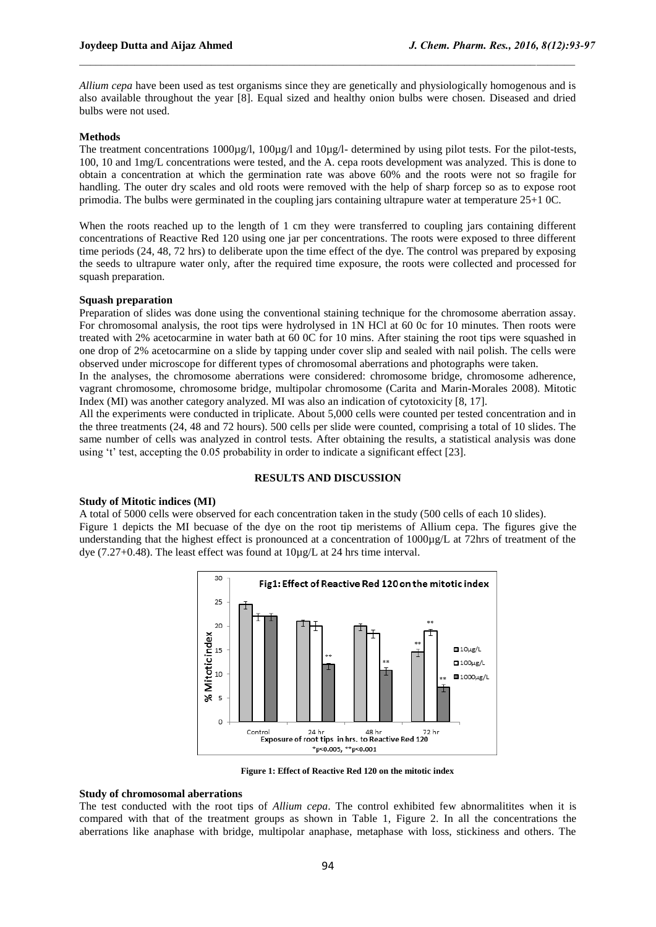*Allium cepa* have been used as test organisms since they are genetically and physiologically homogenous and is also available throughout the year [8]. Equal sized and healthy onion bulbs were chosen. Diseased and dried bulbs were not used.

 $\mathcal{L}_\mathcal{L}$  , and the state of the state of the state of the state of the state of the state of the state of the state of the state of the state of the state of the state of the state of the state of the state of the s

#### **Methods**

The treatment concentrations  $1000\mu\text{g/l}$ ,  $100\mu\text{g/l}$  and  $10\mu\text{g/l}$ - determined by using pilot tests. For the pilot-tests, 100, 10 and 1mg/L concentrations were tested, and the A. cepa roots development was analyzed. This is done to obtain a concentration at which the germination rate was above 60% and the roots were not so fragile for handling. The outer dry scales and old roots were removed with the help of sharp forcep so as to expose root primodia. The bulbs were germinated in the coupling jars containing ultrapure water at temperature 25+1 0C.

When the roots reached up to the length of 1 cm they were transferred to coupling jars containing different concentrations of Reactive Red 120 using one jar per concentrations. The roots were exposed to three different time periods (24, 48, 72 hrs) to deliberate upon the time effect of the dye. The control was prepared by exposing the seeds to ultrapure water only, after the required time exposure, the roots were collected and processed for squash preparation.

#### **Squash preparation**

Preparation of slides was done using the conventional staining technique for the chromosome aberration assay. For chromosomal analysis, the root tips were hydrolysed in 1N HCl at 60 0c for 10 minutes. Then roots were treated with 2% acetocarmine in water bath at 60 0C for 10 mins. After staining the root tips were squashed in one drop of 2% acetocarmine on a slide by tapping under cover slip and sealed with nail polish. The cells were observed under microscope for different types of chromosomal aberrations and photographs were taken.

In the analyses, the chromosome aberrations were considered: chromosome bridge, chromosome adherence, vagrant chromosome, chromosome bridge, multipolar chromosome (Carita and Marin-Morales 2008). Mitotic Index (MI) was another category analyzed. MI was also an indication of cytotoxicity [8, 17].

All the experiments were conducted in triplicate. About 5,000 cells were counted per tested concentration and in the three treatments (24, 48 and 72 hours). 500 cells per slide were counted, comprising a total of 10 slides. The same number of cells was analyzed in control tests. After obtaining the results, a statistical analysis was done using 't' test, accepting the 0.05 probability in order to indicate a significant effect [23].

#### **RESULTS AND DISCUSSION**

### **Study of Mitotic indices (MI)**

A total of 5000 cells were observed for each concentration taken in the study (500 cells of each 10 slides). Figure 1 depicts the MI becuase of the dye on the root tip meristems of Allium cepa. The figures give the understanding that the highest effect is pronounced at a concentration of 1000µg/L at 72hrs of treatment of the dye (7.27+0.48). The least effect was found at 10µg/L at 24 hrs time interval.



**Figure 1: Effect of Reactive Red 120 on the mitotic index**

#### **Study of chromosomal aberrations**

The test conducted with the root tips of *Allium cepa*. The control exhibited few abnormalitites when it is compared with that of the treatment groups as shown in Table 1, Figure 2. In all the concentrations the aberrations like anaphase with bridge, multipolar anaphase, metaphase with loss, stickiness and others. The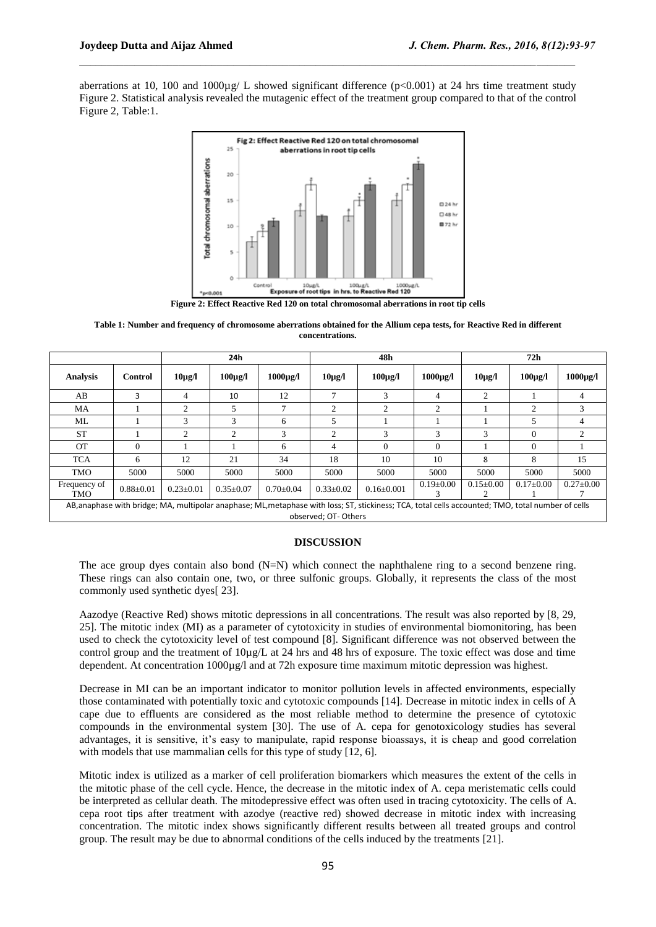aberrations at 10, 100 and  $1000\mu g/L$  showed significant difference (p<0.001) at 24 hrs time treatment study Figure 2. Statistical analysis revealed the mutagenic effect of the treatment group compared to that of the control Figure 2, Table:1.

 $\mathcal{L}_\mathcal{L}$  , and the state of the state of the state of the state of the state of the state of the state of the state of the state of the state of the state of the state of the state of the state of the state of the s



**Figure 2: Effect Reactive Red 120 on total chromosomal aberrations in root tip cells**

**Table 1: Number and frequency of chromosome aberrations obtained for the Allium cepa tests, for Reactive Red in different concentrations.**

|                                                                                                                                                                           |                 | 24h             |                 |                 | 48h             |                  |                 | 72h             |                 |                 |
|---------------------------------------------------------------------------------------------------------------------------------------------------------------------------|-----------------|-----------------|-----------------|-----------------|-----------------|------------------|-----------------|-----------------|-----------------|-----------------|
| <b>Analysis</b>                                                                                                                                                           | Control         | $10\mu$ g/l     | $100\mu$ g/l    | $1000\mu$ g/l   | $10\mu$ g/l     | $100\mu$ g/l     | $1000\mu$ g/l   | $10\mu g/l$     | $100\mu$ g/l    | $1000\mu$ g/l   |
| AB                                                                                                                                                                        | 3               | 4               | 10              | 12              | 7               | 3                | 4               | 2               |                 | 4               |
| MA                                                                                                                                                                        |                 | $\overline{c}$  | 5               | Ξ               | 2               | $\overline{c}$   | 2               |                 | ↑               | 3               |
| ML                                                                                                                                                                        |                 | 3               | 3               | 6               | 5               |                  |                 |                 | 5               | 4               |
| <b>ST</b>                                                                                                                                                                 |                 | 2               | $\overline{c}$  | 3               | 2               | 3                | 3               | 3               | $\Omega$        | $\overline{c}$  |
| <b>OT</b>                                                                                                                                                                 | $\Omega$        |                 |                 | 6               | 4               | $\Omega$         | $\Omega$        |                 | $\Omega$        |                 |
| <b>TCA</b>                                                                                                                                                                | 6               | 12              | 21              | 34              | 18              | 10               | 10              | 8               | 8               | 15              |
| <b>TMO</b>                                                                                                                                                                | 5000            | 5000            | 5000            | 5000            | 5000            | 5000             | 5000            | 5000            | 5000            | 5000            |
| Frequency of<br><b>TMO</b>                                                                                                                                                | $0.88 \pm 0.01$ | $0.23 \pm 0.01$ | $0.35 \pm 0.07$ | $0.70 \pm 0.04$ | $0.33 \pm 0.02$ | $0.16 \pm 0.001$ | $0.19 \pm 0.00$ | $0.15 \pm 0.00$ | $0.17 \pm 0.00$ | $0.27 \pm 0.00$ |
| AB, anaphase with bridge; MA, multipolar anaphase; ML, metaphase with loss; ST, stickiness; TCA, total cells accounted; TMO, total number of cells<br>observed; OT-Others |                 |                 |                 |                 |                 |                  |                 |                 |                 |                 |

## **DISCUSSION**

The ace group dyes contain also bond  $(N=N)$  which connect the naphthalene ring to a second benzene ring. These rings can also contain one, two, or three sulfonic groups. Globally, it represents the class of the most commonly used synthetic dyes[ 23].

Aazodye (Reactive Red) shows mitotic depressions in all concentrations. The result was also reported by [8, 29, 25]. The mitotic index (MI) as a parameter of cytotoxicity in studies of environmental biomonitoring, has been used to check the cytotoxicity level of test compound [8]. Significant difference was not observed between the control group and the treatment of 10µg/L at 24 hrs and 48 hrs of exposure. The toxic effect was dose and time dependent. At concentration 1000µg/l and at 72h exposure time maximum mitotic depression was highest.

Decrease in MI can be an important indicator to monitor pollution levels in affected environments, especially those contaminated with potentially toxic and cytotoxic compounds [14]. Decrease in mitotic index in cells of A cape due to effluents are considered as the most reliable method to determine the presence of cytotoxic compounds in the environmental system [30]. The use of A. cepa for genotoxicology studies has several advantages, it is sensitive, it's easy to manipulate, rapid response bioassays, it is cheap and good correlation with models that use mammalian cells for this type of study [12, 6].

Mitotic index is utilized as a marker of cell proliferation biomarkers which measures the extent of the cells in the mitotic phase of the cell cycle. Hence, the decrease in the mitotic index of A. cepa meristematic cells could be interpreted as cellular death. The mitodepressive effect was often used in tracing cytotoxicity. The cells of A. cepa root tips after treatment with azodye (reactive red) showed decrease in mitotic index with increasing concentration. The mitotic index shows significantly different results between all treated groups and control group. The result may be due to abnormal conditions of the cells induced by the treatments [21].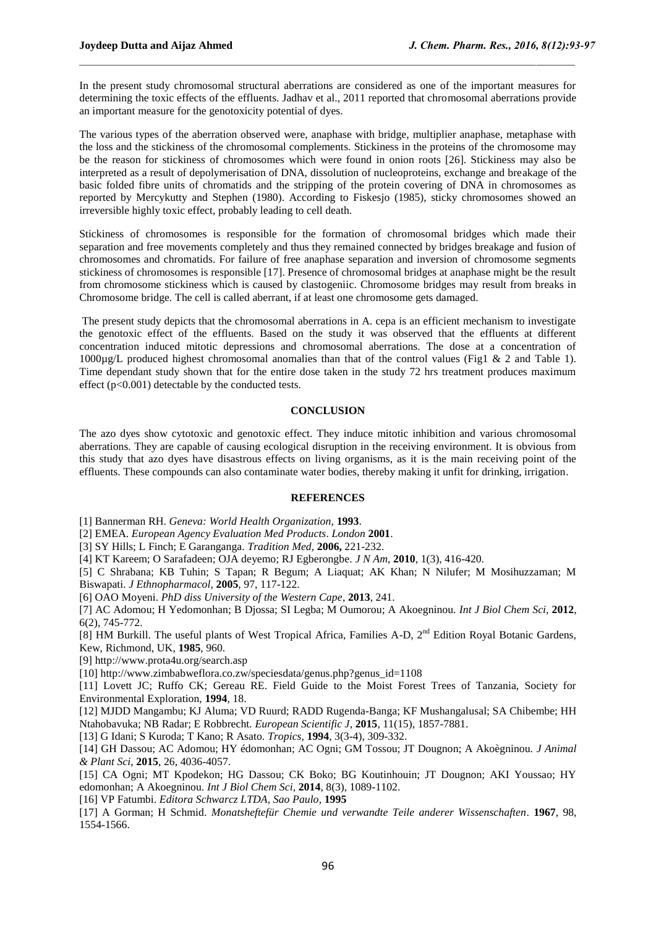In the present study chromosomal structural aberrations are considered as one of the important measures for determining the toxic effects of the effluents. Jadhav et al., 2011 reported that chromosomal aberrations provide an important measure for the genotoxicity potential of dyes.

 $\mathcal{L}_\mathcal{L}$  , and the state of the state of the state of the state of the state of the state of the state of the state of the state of the state of the state of the state of the state of the state of the state of the s

The various types of the aberration observed were, anaphase with bridge, multiplier anaphase, metaphase with the loss and the stickiness of the chromosomal complements. Stickiness in the proteins of the chromosome may be the reason for stickiness of chromosomes which were found in onion roots [26]. Stickiness may also be interpreted as a result of depolymerisation of DNA, dissolution of nucleoproteins, exchange and breakage of the basic folded fibre units of chromatids and the stripping of the protein covering of DNA in chromosomes as reported by Mercykutty and Stephen (1980). According to Fiskesjo (1985), sticky chromosomes showed an irreversible highly toxic effect, probably leading to cell death.

Stickiness of chromosomes is responsible for the formation of chromosomal bridges which made their separation and free movements completely and thus they remained connected by bridges breakage and fusion of chromosomes and chromatids. For failure of free anaphase separation and inversion of chromosome segments stickiness of chromosomes is responsible [17]. Presence of chromosomal bridges at anaphase might be the result from chromosome stickiness which is caused by clastogeniic. Chromosome bridges may result from breaks in Chromosome bridge. The cell is called aberrant, if at least one chromosome gets damaged.

The present study depicts that the chromosomal aberrations in A. cepa is an efficient mechanism to investigate the genotoxic effect of the effluents. Based on the study it was observed that the effluents at different concentration induced mitotic depressions and chromosomal aberrations. The dose at a concentration of 1000µg/L produced highest chromosomal anomalies than that of the control values (Fig1 & 2 and Table 1). Time dependant study shown that for the entire dose taken in the study 72 hrs treatment produces maximum effect (p<0.001) detectable by the conducted tests.

#### **CONCLUSION**

The azo dyes show cytotoxic and genotoxic effect. They induce mitotic inhibition and various chromosomal aberrations. They are capable of causing ecological disruption in the receiving environment. It is obvious from this study that azo dyes have disastrous effects on living organisms, as it is the main receiving point of the effluents. These compounds can also contaminate water bodies, thereby making it unfit for drinking, irrigation.

#### **REFERENCES**

[1] Bannerman RH. *Geneva: World Health Organization,* **1993**.

[2] EMEA. *European Agency Evaluation Med Products*. *London* **2001**.

[3] SY Hills; L Finch; E Garanganga. *Tradition Med,* **2006,** 221-232.

[4] KT Kareem; O Sarafadeen; OJA deyemo; RJ Egberongbe. *J N Am*, **2010**, 1(3), 416-420.

[5] C Shrabana; KB Tuhin; S Tapan; R Begum; A Liaquat; AK Khan; N Nilufer; M Mosihuzzaman; M Biswapati. *J Ethnopharmacol,* **2005**, 97, 117-122.

[6] OAO Moyeni. *PhD diss University of the Western Cape*, **2013**, 241.

[7] AC Adomou; H Yedomonhan; B Djossa; SI Legba; M Oumorou; A Akoegninou. *Int J Biol Chem Sci,* **2012**, 6(2), 745-772.

[8] HM Burkill. The useful plants of West Tropical Africa, Families A-D, 2<sup>nd</sup> Edition Royal Botanic Gardens, Kew, Richmond, UK, **1985**, 960.

[9] http://www.prota4u.org/search.asp

[10] http://www.zimbabweflora.co.zw/speciesdata/genus.php?genus\_id=1108

[11] Lovett JC; Ruffo CK; Gereau RE. Field Guide to the Moist Forest Trees of Tanzania, Society for Environmental Exploration, **1994**, 18.

[12] MJDD Mangambu; KJ Aluma; VD Ruurd; RADD Rugenda-Banga; KF Mushangalusal; SA Chibembe; HH Ntahobavuka; NB Radar; E Robbrecht. *European Scientific J*, **2015**, 11(15), 1857-7881.

[13] G Idani; S Kuroda; T Kano; R Asato. *Tropics,* **1994**, 3(3-4), 309-332.

[14] GH Dassou; AC Adomou; HY édomonhan; AC Ogni; GM Tossou; JT Dougnon; A Akoègninou. *J Animal & Plant Sci*, **2015**, 26, 4036-4057.

[15] CA Ogni; MT Kpodekon; HG Dassou; CK Boko; BG Koutinhouin; JT Dougnon; AKI Youssao; HY edomonhan; A Akoegninou. *Int J Biol Chem Sci,* **2014**, 8(3), 1089-1102.

[16] VP Fatumbi. *Editora Schwarcz LTDA, Sao Paulo*, **1995**

[17] A Gorman; H Schmid. *Monatsheftefür Chemie und verwandte Teile anderer Wissenschaften*. **1967**, 98, 1554-1566.